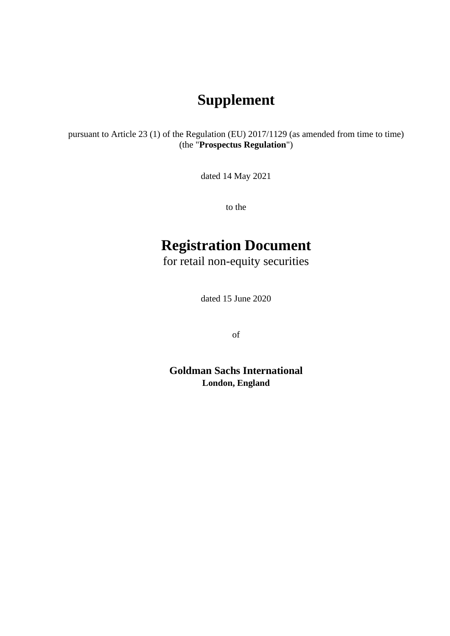## **Supplement**

pursuant to Article 23 (1) of the Regulation (EU) 2017/1129 (as amended from time to time) (the "**Prospectus Regulation**")

dated 14 May 2021

to the

# **Registration Document**

for retail non-equity securities

dated 15 June 2020

of

**Goldman Sachs International London, England**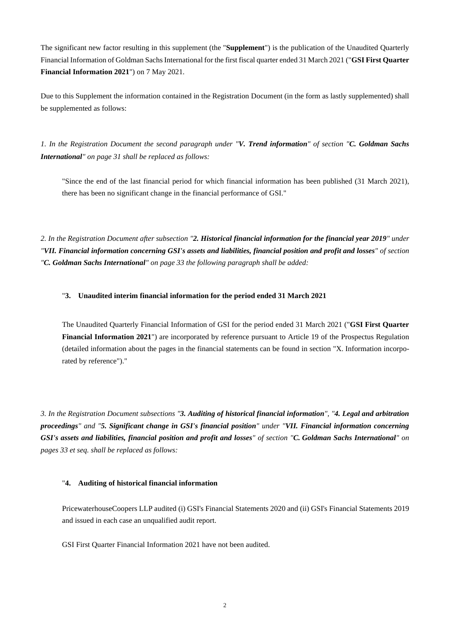The significant new factor resulting in this supplement (the "**Supplement**") is the publication of the Unaudited Quarterly Financial Information of Goldman Sachs International for the first fiscal quarter ended 31 March 2021 ("**GSI First Quarter Financial Information 2021**") on 7 May 2021.

Due to this Supplement the information contained in the Registration Document (in the form as lastly supplemented) shall be supplemented as follows:

*1. In the Registration Document the second paragraph under "V. Trend information" of section "C. Goldman Sachs International" on page 31 shall be replaced as follows:* 

"Since the end of the last financial period for which financial information has been published (31 March 2021), there has been no significant change in the financial performance of GSI."

*2. In the Registration Document after subsection "2. Historical financial information for the financial year 2019" under "VII. Financial information concerning GSI's assets and liabilities, financial position and profit and losses" of section "C. Goldman Sachs International" on page 33 the following paragraph shall be added:*

#### "**3. Unaudited interim financial information for the period ended 31 March 2021**

The Unaudited Quarterly Financial Information of GSI for the period ended 31 March 2021 ("**GSI First Quarter Financial Information 2021**") are incorporated by reference pursuant to Article 19 of the Prospectus Regulation (detailed information about the pages in the financial statements can be found in section "X. Information incorporated by reference")."

*3. In the Registration Document subsections "3. Auditing of historical financial information", "4. Legal and arbitration proceedings" and "5. Significant change in GSI's financial position" under "VII. Financial information concerning GSI's assets and liabilities, financial position and profit and losses" of section "C. Goldman Sachs International" on pages 33 et seq. shall be replaced as follows:*

#### "**4. Auditing of historical financial information**

PricewaterhouseCoopers LLP audited (i) GSI's Financial Statements 2020 and (ii) GSI's Financial Statements 2019 and issued in each case an unqualified audit report.

GSI First Quarter Financial Information 2021 have not been audited.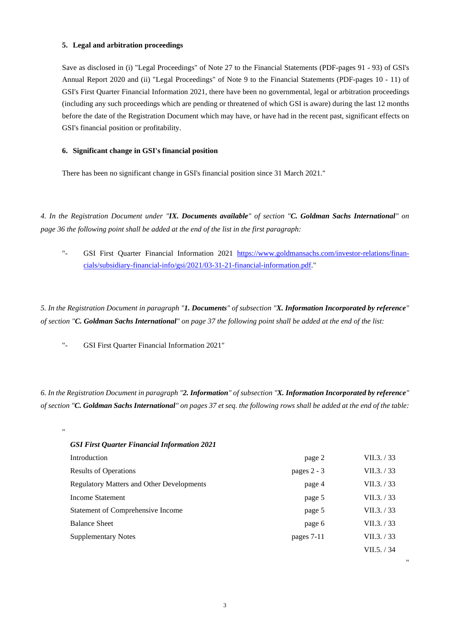#### **5. Legal and arbitration proceedings**

Save as disclosed in (i) "Legal Proceedings" of Note 27 to the Financial Statements (PDF-pages 91 - 93) of GSI's Annual Report 2020 and (ii) "Legal Proceedings" of Note 9 to the Financial Statements (PDF-pages 10 - 11) of GSI's First Quarter Financial Information 2021, there have been no governmental, legal or arbitration proceedings (including any such proceedings which are pending or threatened of which GSI is aware) during the last 12 months before the date of the Registration Document which may have, or have had in the recent past, significant effects on GSI's financial position or profitability.

#### **6. Significant change in GSI's financial position**

There has been no significant change in GSI's financial position since 31 March 2021."

*4. In the Registration Document under "IX. Documents available" of section "C. Goldman Sachs International" on page 36 the following point shall be added at the end of the list in the first paragraph:* 

"- GSI First Quarter Financial Information 2021 [https://www.goldmansachs.com/investor-relations/finan](https://www.goldmansachs.com/investor-relations/financials/subsidiary-financial-info/gsi/2021/03-31-21-financial-information.pdf)[cials/subsidiary-financial-info/gsi/2021/03-31-21-financial-information.pdf."](https://www.goldmansachs.com/investor-relations/financials/subsidiary-financial-info/gsi/2021/03-31-21-financial-information.pdf) 

*5. In the Registration Document in paragraph "1. Documents" of subsection "X. Information Incorporated by reference" of section "C. Goldman Sachs International" on page 37 the following point shall be added at the end of the list:* 

["-](http://-/) GSI First Quarter Financial Information 2021"

"

### *6. In the Registration Document in paragraph "2. Information" of subsection "X. Information Incorporated by reference" of section "C. Goldman Sachs International" on pages 37 et seq. the following rows shall be added at the end of the table:*

| <b>GSI First Quarter Financial Information 2021</b> |               |             |
|-----------------------------------------------------|---------------|-------------|
| Introduction                                        | page 2        | VII.3. / 33 |
| <b>Results of Operations</b>                        | pages $2 - 3$ | VII.3. / 33 |
| <b>Regulatory Matters and Other Developments</b>    | page 4        | VII.3. / 33 |
| Income Statement                                    | page 5        | VII.3. / 33 |
| Statement of Comprehensive Income                   | page 5        | VII.3. / 33 |
| <b>Balance Sheet</b>                                | page 6        | VII.3. / 33 |
| <b>Supplementary Notes</b>                          | pages 7-11    | VII.3. / 33 |
|                                                     |               | VII.5. / 34 |

"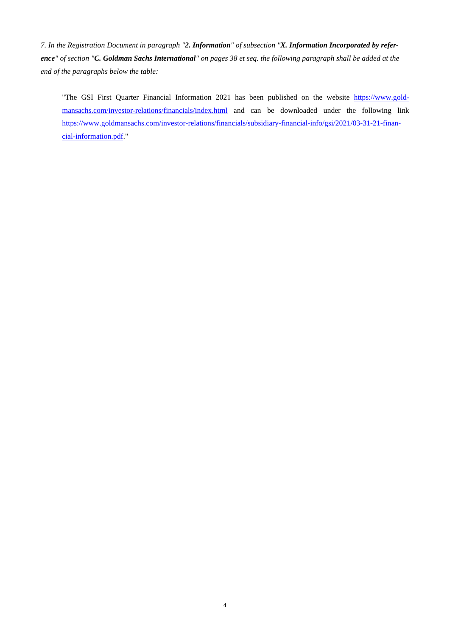*7. In the Registration Document in paragraph "2. Information" of subsection "X. Information Incorporated by reference" of section "C. Goldman Sachs International" on pages 38 et seq. the following paragraph shall be added at the end of the paragraphs below the table:* 

"The GSI First Quarter Financial Information 2021 has been published on the website [https://www.gold](https://www.goldmansachs.com/investor-relations/financials/index.html)[mansachs.com/investor-relations/financials/index.html and can be downloaded under the following link](https://www.goldmansachs.com/investor-relations/financials/index.html)  [https://www.goldmansachs.com/investor-relations/financials/subsidiary-financial-info/gsi/2021/03-31-21-finan](https://www.goldmansachs.com/investor-relations/financials/subsidiary-financial-info/gsi/2021/03-31-21-financial-information.pdf)[cial-information.pdf."](https://www.goldmansachs.com/investor-relations/financials/subsidiary-financial-info/gsi/2021/03-31-21-financial-information.pdf)